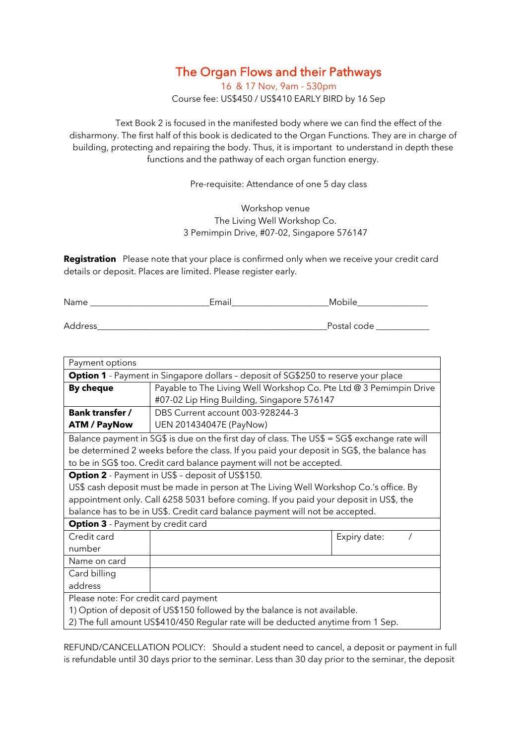## The Organ Flows and their Pathways

16 & 17 Nov, 9am - 530pm Course fee: US\$450 / US\$410 EARLY BIRD by 16 Sep

Text Book 2 is focused in the manifested body where we can find the effect of the disharmony. The first half of this book is dedicated to the Organ Functions. They are in charge of building, protecting and repairing the body. Thus, it is important to understand in depth these functions and the pathway of each organ function energy.

Pre-requisite: Attendance of one 5 day class

Workshop venue The Living Well Workshop Co. 3 Pemimpin Drive, #07-02, Singapore 576147

**Registration** Please note that your place is confirmed only when we receive your credit card details or deposit. Places are limited. Please register early.

Address\_\_\_\_\_\_\_\_\_\_\_\_\_\_\_\_\_\_\_\_\_\_\_\_\_\_\_\_\_\_\_\_\_\_\_\_\_\_\_\_\_\_\_\_\_\_\_\_\_\_\_\_Postal code \_\_\_\_\_\_\_\_\_\_\_\_

| Payment options                                                                              |                                                                    |              |  |  |
|----------------------------------------------------------------------------------------------|--------------------------------------------------------------------|--------------|--|--|
| <b>Option 1</b> - Payment in Singapore dollars - deposit of SG\$250 to reserve your place    |                                                                    |              |  |  |
| <b>By cheque</b>                                                                             | Payable to The Living Well Workshop Co. Pte Ltd @ 3 Pemimpin Drive |              |  |  |
|                                                                                              | #07-02 Lip Hing Building, Singapore 576147                         |              |  |  |
| <b>Bank transfer /</b>                                                                       | DBS Current account 003-928244-3                                   |              |  |  |
| <b>ATM / PayNow</b>                                                                          | UEN 201434047E (PayNow)                                            |              |  |  |
| Balance payment in SG\$ is due on the first day of class. The US\$ = SG\$ exchange rate will |                                                                    |              |  |  |
| be determined 2 weeks before the class. If you paid your deposit in SG\$, the balance has    |                                                                    |              |  |  |
| to be in SG\$ too. Credit card balance payment will not be accepted.                         |                                                                    |              |  |  |
| <b>Option 2</b> - Payment in US\$ - deposit of US\$150.                                      |                                                                    |              |  |  |
| US\$ cash deposit must be made in person at The Living Well Workshop Co.'s office. By        |                                                                    |              |  |  |
| appointment only. Call 6258 5031 before coming. If you paid your deposit in US\$, the        |                                                                    |              |  |  |
| balance has to be in US\$. Credit card balance payment will not be accepted.                 |                                                                    |              |  |  |
| <b>Option 3</b> - Payment by credit card                                                     |                                                                    |              |  |  |
| Credit card                                                                                  |                                                                    | Expiry date: |  |  |
| number                                                                                       |                                                                    |              |  |  |
| Name on card                                                                                 |                                                                    |              |  |  |
| Card billing                                                                                 |                                                                    |              |  |  |
| address                                                                                      |                                                                    |              |  |  |
| Please note: For credit card payment                                                         |                                                                    |              |  |  |
| 1) Option of deposit of US\$150 followed by the balance is not available.                    |                                                                    |              |  |  |
| 2) The full amount US\$410/450 Regular rate will be deducted anytime from 1 Sep.             |                                                                    |              |  |  |

REFUND/CANCELLATION POLICY: Should a student need to cancel, a deposit or payment in full is refundable until 30 days prior to the seminar. Less than 30 day prior to the seminar, the deposit